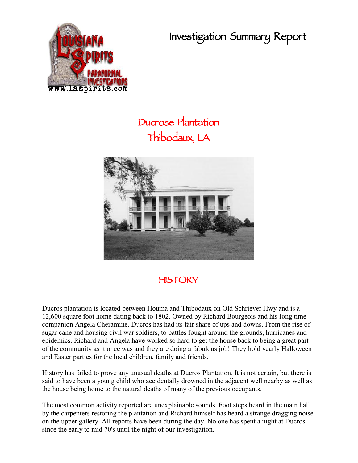**Investigation Summary Report**



## **Ducrose Plantation Thibodaux, LA**



## **HISTORY**

Ducros plantation is located between Houma and Thibodaux on Old Schriever Hwy and is a 12,600 square foot home dating back to 1802. Owned by Richard Bourgeois and his long time companion Angela Cheramine. Ducros has had its fair share of ups and downs. From the rise of sugar cane and housing civil war soldiers, to battles fought around the grounds, hurricanes and epidemics. Richard and Angela have worked so hard to get the house back to being a great part of the community as it once was and they are doing a fabulous job! They hold yearly Halloween and Easter parties for the local children, family and friends.

History has failed to prove any unusual deaths at Ducros Plantation. It is not certain, but there is said to have been a young child who accidentally drowned in the adjacent well nearby as well as the house being home to the natural deaths of many of the previous occupants.

The most common activity reported are unexplainable sounds. Foot steps heard in the main hall by the carpenters restoring the plantation and Richard himself has heard a strange dragging noise on the upper gallery. All reports have been during the day. No one has spent a night at Ducros since the early to mid 70's until the night of our investigation.